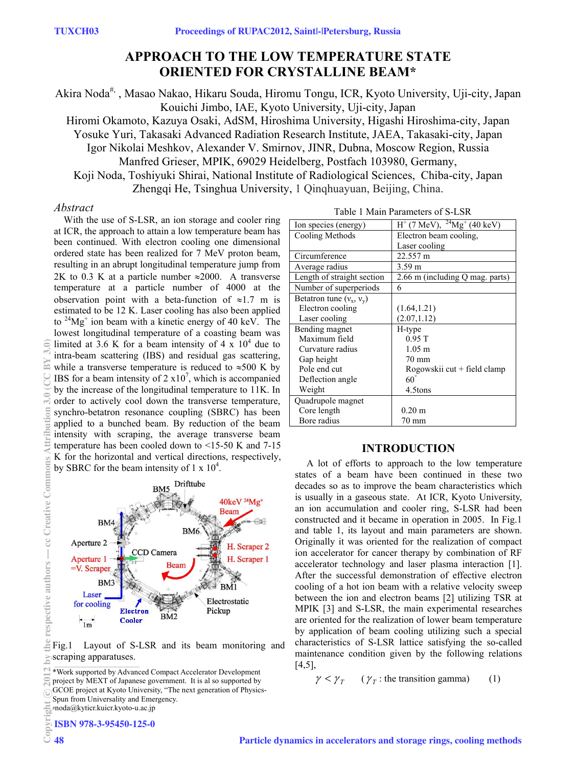# **APPROACH TO THE LOW TEMPERATURE STATE ORIENTED FOR CRYSTALLINE BEAM\***

Akira Noda#, , Masao Nakao, Hikaru Souda, Hiromu Tongu, ICR, Kyoto University, Uji-city, Japan Kouichi Jimbo, IAE, Kyoto University, Uji-city, Japan

Hiromi Okamoto, Kazuya Osaki, AdSM, Hiroshima University, Higashi Hiroshima-city, Japan Yosuke Yuri, Takasaki Advanced Radiation Research Institute, JAEA, Takasaki-city, Japan Igor Nikolai Meshkov, Alexander V. Smirnov, JINR, Dubna, Moscow Region, Russia Manfred Grieser, MPIK, 69029 Heidelberg, Postfach 103980, Germany,

Koji Noda, Toshiyuki Shirai, National Institute of Radiological Sciences, Chiba-city, Japan Zhengqi He, Tsinghua University, 1 Qinqhuayuan, Beijing, China.

### *Abstract*

With the use of S-LSR, an ion storage and cooler ring at ICR, the approach to attain a low temperature beam has been continued. With electron cooling one dimensional ordered state has been realized for 7 MeV proton beam, resulting in an abrupt longitudinal temperature jump from 2K to 0.3 K at a particle number  $\approx 2000$ . A transverse temperature at a particle number of 4000 at the observation point with a beta-function of  $\approx 1.7$  m is estimated to be 12 K. Laser cooling has also been applied to  $24Mg<sup>+</sup>$  ion beam with a kinetic energy of 40 keV. The lowest longitudinal temperature of a coasting beam was limited at 3.6 K for a beam intensity of 4 x  $10^4$  due to intra-beam scattering (IBS) and residual gas scattering, while a transverse temperature is reduced to  $\approx 500$  K by IBS for a beam intensity of  $2 \times 10^7$ , which is accompanied by the increase of the longitudinal temperature to 11K. In order to actively cool down the transverse temperature, synchro-betatron resonance coupling (SBRC) has been applied to a bunched beam. By reduction of the beam intensity with scraping, the average transverse beam temperature has been cooled down to <15-50 K and 7-15 K for the horizontal and vertical directions, respectively, by SBRC for the beam intensity of  $1 \times 10^4$ .



Fig.1 Layout of S-LSR and its beam monitoring and scraping apparatuses.

ISBN 978-3-95450-125-0

|  | Table 1 Main Parameters of S-LSR |  |
|--|----------------------------------|--|
|  |                                  |  |

| Ion species (energy)       | $H^+$ (7 MeV), $^{24}Mg^+$ (40 keV) |  |  |  |
|----------------------------|-------------------------------------|--|--|--|
| Cooling Methods            | Electron beam cooling.              |  |  |  |
|                            | Laser cooling                       |  |  |  |
| Circumference              | 22.557 m                            |  |  |  |
| Average radius             | $3.59 \text{ m}$                    |  |  |  |
| Length of straight section | 2.66 m (including Q mag. parts)     |  |  |  |
| Number of superperiods     | 6                                   |  |  |  |
| Betatron tune $(v_x, v_y)$ |                                     |  |  |  |
| Electron cooling           | (1.64, 1.21)                        |  |  |  |
| Laser cooling              | (2.07, 1.12)                        |  |  |  |
| Bending magnet             | H-type                              |  |  |  |
| Maximum field              | 0.95T                               |  |  |  |
| Curvature radius           | $1.05 \; \mathrm{m}$                |  |  |  |
| Gap height                 | 70 mm                               |  |  |  |
| Pole end cut               | Rogowskii cut + field clamp         |  |  |  |
| Deflection angle           | 60                                  |  |  |  |
| Weight                     | 4.5tons                             |  |  |  |
| Quadrupole magnet          |                                     |  |  |  |
| Core length                | $0.20 \text{ m}$                    |  |  |  |
| Bore radius                | 70 mm                               |  |  |  |

# **INTRODUCTION**

 A lot of efforts to approach to the low temperature states of a beam have been continued in these two decades so as to improve the beam characteristics which is usually in a gaseous state. At ICR, Kyoto University, an ion accumulation and cooler ring, S-LSR had been constructed and it became in operation in 2005. In Fig.1 and table 1, its layout and main parameters are shown. Originally it was oriented for the realization of compact ion accelerator for cancer therapy by combination of RF accelerator technology and laser plasma interaction [1]. After the successful demonstration of effective electron cooling of a hot ion beam with a relative velocity sweep between the ion and electron beams [2] utilizing TSR at MPIK [3] and S-LSR, the main experimental researches are oriented for the realization of lower beam temperature by application of beam cooling utilizing such a special characteristics of S-LSR lattice satisfying the so-called maintenance condition given by the following relations  $[4,5]$ ,

 $\gamma < \gamma_{\tau}$  ( $\gamma_{\tau}$ : the transition gamma) (1)

€

<sup>\*</sup>Work supported by Advanced Compact Accelerator Development

project by MEXT of Japanese government. It is al so supported by

GCOE project at Kyoto University, "The next generation of Physics-

Spun from Universality and Emergency.

<sup>#</sup>noda@kyticr.kuicr.kyoto-u.ac.jp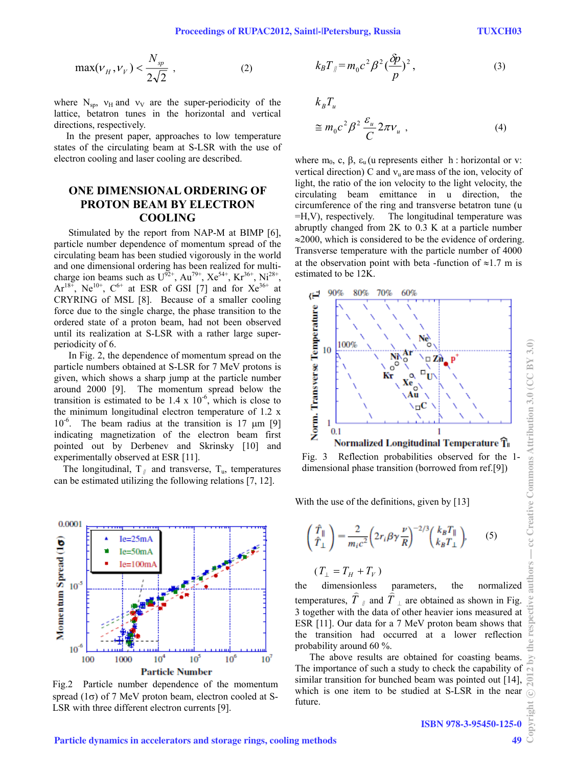$$
\max(\nu_H, \nu_V) < \frac{N_{sp}}{2\sqrt{2}} \tag{2}
$$

where  $N_{\rm sp}$ ,  $v_{\rm H}$  and  $v_{\rm V}$  are the super-periodicity of the lattice, betatron tunes in the horizontal and vertical directions, respectively.

 In the present paper, approaches to low temperature states of the circulating beam at S-LSR with the use of electron cooling and laser cooling are described.

# **ONE DIMENSIONAL ORDERING OF PROTON BEAM BY ELECTRON COOLING**

Stimulated by the report from NAP-M at BIMP [6], particle number dependence of momentum spread of the circulating beam has been studied vigorously in the world and one dimensional ordering has been realized for multicharge ion beams such as  $U^{92+}$ , Au<sup>79+</sup>, Xe<sup>54+</sup>, Kr<sup>36+</sup>, Ni<sup>28+</sup>,  $Ar^{18^{\times}}$ , Ne<sup>10+</sup>, C<sup>6+</sup> at ESR of GSI [7] and for Xe<sup>36+</sup> at CRYRING of MSL [8]. Because of a smaller cooling force due to the single charge, the phase transition to the ordered state of a proton beam, had not been observed until its realization at S-LSR with a rather large superperiodicity of 6.

In Fig. 2, the dependence of momentum spread on the particle numbers obtained at S-LSR for 7 MeV protons is given, which shows a sharp jump at the particle number around 2000 [9]. The momentum spread below the transition is estimated to be  $1.4 \times 10^{-6}$ , which is close to the minimum longitudinal electron temperature of 1.2 x  $10^{-6}$ . The beam radius at the transition is 17  $\mu$ m [9] indicating magnetization of the electron beam first pointed out by Derbenev and Skrinsky [10] and experimentally observed at ESR [11].

The longitudinal,  $T_{\parallel}$  and transverse,  $T_{\parallel}$ , temperatures can be estimated utilizing the following relations [7, 12].



Fig.2 Particle number dependence of the momentum spread  $(1\sigma)$  of 7 MeV proton beam, electron cooled at S-LSR with three different electron currents [9].

$$
k_B T_{\parallel} = m_0 c^2 \beta^2 \left(\frac{\delta p}{p}\right)^2, \qquad (3)
$$

$$
k_B T_u
$$
  
\n
$$
\cong m_0 c^2 \beta^2 \frac{\varepsilon_u}{C} 2\pi v_u , \qquad (4)
$$

where  $m_0$ , c,  $\beta$ ,  $\varepsilon_u$  (u represents either h : horizontal or v: vertical direction) C and  $v_u$  are mass of the ion, velocity of light, the ratio of the ion velocity to the light velocity, the circulating beam emittance in u direction, the circumference of the ring and transverse betatron tune (u =H,V), respectively. The longitudinal temperature was abruptly changed from 2K to 0.3 K at a particle number ≈2000, which is considered to be the evidence of ordering. Transverse temperature with the particle number of 4000 at the observation point with beta -function of  $\approx 1.7$  m is estimated to be 12K.



Fig. 3 Reflection probabilities observed for the 1 dimensional phase transition (borrowed from ref.[9])

With the use of the definitions, given by [13]

$$
\begin{pmatrix} \hat{T}_{\parallel} \\ \hat{T}_{\perp} \end{pmatrix} = \frac{2}{m_i c^2} \left( 2r_i \beta \gamma \frac{\nu}{R} \right)^{-2/3} \begin{pmatrix} k_B T_{\parallel} \\ k_B T_{\perp} \end{pmatrix}, \qquad (5)
$$

$$
(T_{\perp}=T_H+T_V)
$$

the dimensionless parameters, the normalized temperatures,  $\hat{T}_{\parallel}$  and  $\hat{T}_{\perp}$  are obtained as shown in Fig. 3 together with the data of other heavier ions measured at ESR [11]. Our data for a 7 MeV proton beam shows that the transition had occurred at a lower reflection probability around 60 %.

The above results are obtained for coasting beams. The importance of such a study to check the capability of similar transition for bunched beam was pointed out [14], which is one item to be studied at S-LSR in the near future.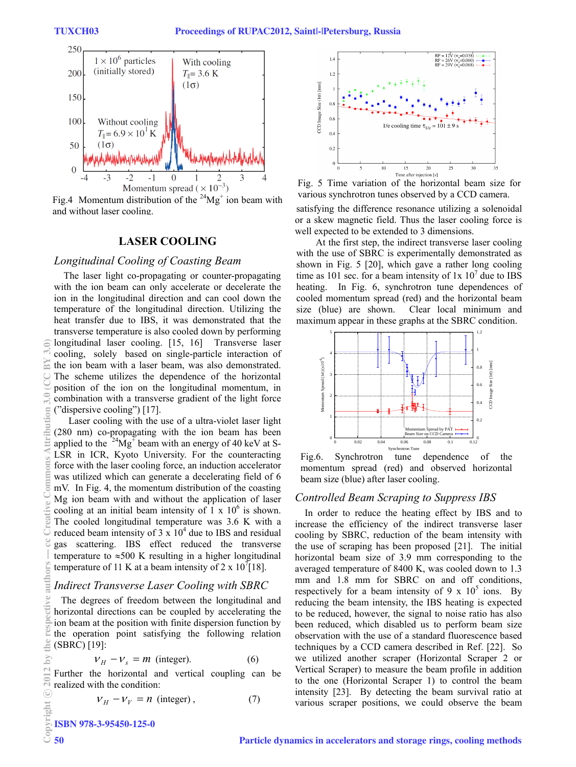

Fig.4 Momentum distribution of the  $24Mg^+$  ion beam with and without laser cooling.

# **LASER COOLING**

#### *Longitudinal Cooling of Coasting Beam*

The laser light co-propagating or counter-propagating with the ion beam can only accelerate or decelerate the ion in the longitudinal direction and can cool down the temperature of the longitudinal direction. Utilizing the heat transfer due to IBS, it was demonstrated that the transverse temperature is also cooled down by performing longitudinal laser cooling. [15, 16] Transverse laser cooling, solely based on single-particle interaction of the ion beam with a laser beam, was also demonstrated. The scheme utilizes the dependence of the horizontal position of the ion on the longitudinal momentum, in combination with a transverse gradient of the light force ("dispersive cooling") [17].

Laser cooling with the use of a ultra-violet laser light (280 nm) co-propagating with the ion beam has been applied to the  $24\text{Mg}^+$  beam with an energy of 40 keV at S-LSR in ICR, Kyoto University. For the counteracting force with the laser cooling force, an induction accelerator was utilized which can generate a decelerating field of 6 mV. In Fig. 4, the momentum distribution of the coasting Mg ion beam with and without the application of laser cooling at an initial beam intensity of  $1 \times 10^6$  is shown. The cooled longitudinal temperature was 3.6 K with a reduced beam intensity of  $3 \times 10^4$  due to IBS and residual gas scattering. IBS effect reduced the transverse temperature to  $\approx 500$  K resulting in a higher longitudinal temperature of 11 K at a beam intensity of 2 x  $10^{7}$ [18].

#### *Indirect Transverse Laser Cooling with SBRC*

 The degrees of freedom between the longitudinal and horizontal directions can be coupled by accelerating the ion beam at the position with finite dispersion function by the operation point satisfying the following relation (SBRC) [19]:

$$
V_H - V_s = m \text{ (integer)}.
$$
 (6)

Further the horizontal and vertical coupling can be realized with the condition:

$$
V_H - V_V = n \text{ (integer)}, \qquad (7)
$$

ISBN 978-3-95450-125-0



Fig. 5 Time variation of the horizontal beam size for various synchrotron tunes observed by a CCD camera.

satisfying the difference resonance utilizing a solenoidal or a skew magnetic field. Thus the laser cooling force is well expected to be extended to 3 dimensions.

At the first step, the indirect transverse laser cooling with the use of SBRC is experimentally demonstrated as shown in Fig. 5 [20], which gave a rather long cooling time as 101 sec. for a beam intensity of  $1x \frac{10^7}{\mu}$  due to IBS heating. In Fig. 6, synchrotron tune dependences of cooled momentum spread (red) and the horizontal beam size (blue) are shown. Clear local minimum and maximum appear in these graphs at the SBRC condition.



Fig.6. Synchrotron tune dependence of the momentum spread (red) and observed horizontal beam size (blue) after laser cooling.

#### *Controlled Beam Scraping to Suppress IBS*

In order to reduce the heating effect by IBS and to increase the efficiency of the indirect transverse laser cooling by SBRC, reduction of the beam intensity with the use of scraping has been proposed [21]. The initial horizontal beam size of 3.9 mm corresponding to the averaged temperature of 8400 K, was cooled down to 1.3 mm and 1.8 mm for SBRC on and off conditions, respectively for a beam intensity of 9 x  $10^5$  ions. By reducing the beam intensity, the IBS heating is expected to be reduced, however, the signal to noise ratio has also been reduced, which disabled us to perform beam size observation with the use of a standard fluorescence based techniques by a CCD camera described in Ref. [22]. So we utilized another scraper (Horizontal Scraper 2 or Vertical Scraper) to measure the beam profile in addition to the one (Horizontal Scraper 1) to control the beam intensity [23]. By detecting the beam survival ratio at various scraper positions, we could observe the beam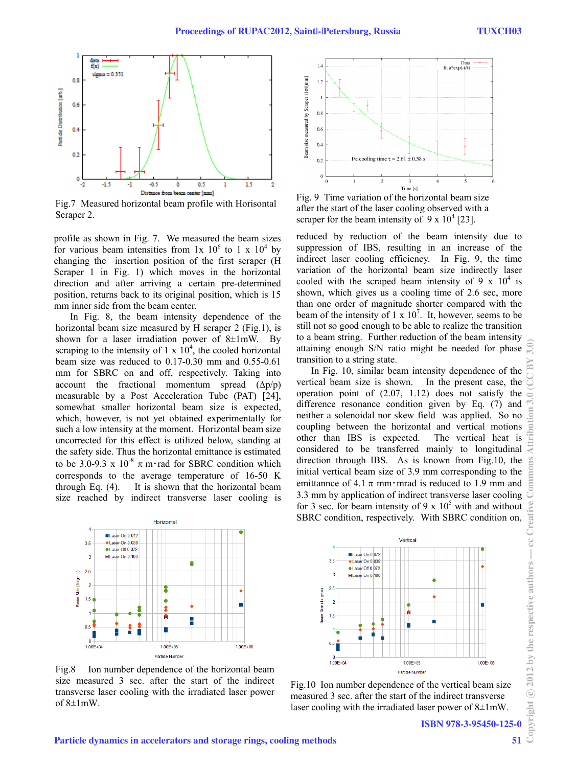

Fig.7 Measured horizontal beam profile with Horisontal Scraper 2.

profile as shown in Fig. 7. We measured the beam sizes for various beam intensities from  $1x$   $10^6$  to  $1x$   $10^4$  by changing the insertion position of the first scraper (H Scraper 1 in Fig. 1) which moves in the horizontal direction and after arriving a certain pre-determined position, returns back to its original position, which is 15 mm inner side from the beam center.

In Fig. 8, the beam intensity dependence of the horizontal beam size measured by H scraper 2 (Fig.1), is shown for a laser irradiation power of  $8\pm1$ mW. By scraping to the intensity of  $1 \times 10^4$ , the cooled horizontal beam size was reduced to 0.17-0.30 mm and 0.55-0.61 mm for SBRC on and off, respectively. Taking into account the fractional momentum spread  $(\Delta p/p)$ measurable by a Post Acceleration Tube (PAT) [24], somewhat smaller horizontal beam size is expected, which, however, is not yet obtained experimentally for such a low intensity at the moment. Horizontal beam size uncorrected for this effect is utilized below, standing at the safety side. Thus the horizontal emittance is estimated to be 3.0-9.3 x  $10^{-8}$   $\pi$  m·rad for SBRC condition which corresponds to the average temperature of 16-50 K through Eq. (4). It is shown that the horizontal beam size reached by indirect transverse laser cooling is



Fig. 9 Time variation of the horizontal beam size after the start of the laser cooling observed with a scraper for the beam intensity of  $9 \times 10^4$  [23].

reduced by reduction of the beam intensity due to suppression of IBS, resulting in an increase of the indirect laser cooling efficiency. In Fig. 9, the time variation of the horizontal beam size indirectly laser cooled with the scraped beam intensity of 9 x  $10^4$  is shown, which gives us a cooling time of 2.6 sec, more than one order of magnitude shorter compared with the beam of the intensity of  $1 \times 10^7$ . It, however, seems to be still not so good enough to be able to realize the transition to a beam string. Further reduction of the beam intensity attaining enough S/N ratio might be needed for phase transition to a string state.

In Fig. 10, similar beam intensity dependence of the vertical beam size is shown. In the present case, the operation point of (2.07, 1.12) does not satisfy the difference resonance condition given by Eq. (7) and neither a solenoidal nor skew field was applied. So no coupling between the horizontal and vertical motions other than IBS is expected. The vertical heat is considered to be transferred mainly to longitudinal direction through IBS. As is known from Fig.10, the initial vertical beam size of 3.9 mm corresponding to the emittannce of 4.1  $\pi$  mm mrad is reduced to 1.9 mm and 3.3 mm by application of indirect transverse laser cooling for 3 sec. for beam intensity of 9 x  $10<sup>5</sup>$  with and without SBRC condition, respectively. With SBRC condition on,



Fig.8 Ion number dependence of the horizontal beam size measured 3 sec. after the start of the indirect transverse laser cooling with the irradiated laser power of  $8\pm1$ mW.





cc Creative

 $\begin{array}{c} \hline \end{array}$ 

51